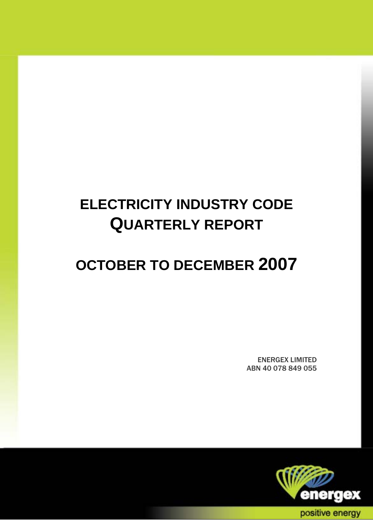# **ELECTRICITY INDUSTRY CODE QUARTERLY REPORT**

# **OCTOBER TO DECEMBER 2007**

ENERGEX LIMITED ABN 40 078 849 055

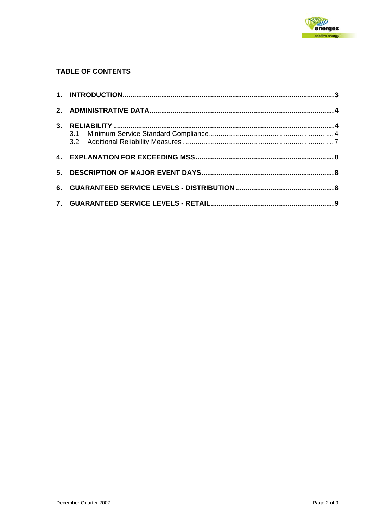

#### **TABLE OF CONTENTS**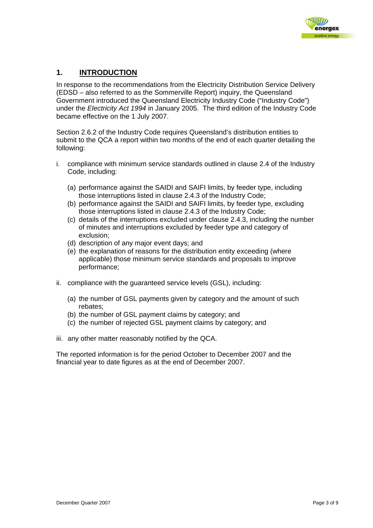

#### <span id="page-2-0"></span>**1. INTRODUCTION**

In response to the recommendations from the Electricity Distribution Service Delivery (EDSD – also referred to as the Sommerville Report) inquiry, the Queensland Government introduced the Queensland Electricity Industry Code ("Industry Code") under the *Electricity Act 1994* in January 2005. The third edition of the Industry Code became effective on the 1 July 2007.

Section 2.6.2 of the Industry Code requires Queensland's distribution entities to submit to the QCA a report within two months of the end of each quarter detailing the following:

- i. compliance with minimum service standards outlined in clause 2.4 of the Industry Code, including:
	- (a) performance against the SAIDI and SAIFI limits, by feeder type, including those interruptions listed in clause 2.4.3 of the Industry Code;
	- (b) performance against the SAIDI and SAIFI limits, by feeder type, excluding those interruptions listed in clause 2.4.3 of the Industry Code;
	- (c) details of the interruptions excluded under clause 2.4.3, including the number of minutes and interruptions excluded by feeder type and category of exclusion;
	- (d) description of any major event days; and
	- (e) the explanation of reasons for the distribution entity exceeding (where applicable) those minimum service standards and proposals to improve performance;
- ii. compliance with the guaranteed service levels (GSL), including:
	- (a) the number of GSL payments given by category and the amount of such rebates;
	- (b) the number of GSL payment claims by category; and
	- (c) the number of rejected GSL payment claims by category; and
- iii. any other matter reasonably notified by the QCA.

The reported information is for the period October to December 2007 and the financial year to date figures as at the end of December 2007.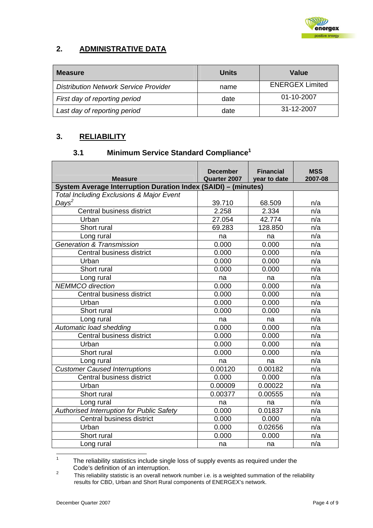

## <span id="page-3-0"></span>**2. ADMINISTRATIVE DATA**

| <b>Measure</b>                               | <b>Units</b> | Value                  |
|----------------------------------------------|--------------|------------------------|
| <b>Distribution Network Service Provider</b> | name         | <b>ENERGEX Limited</b> |
| First day of reporting period                | date         | 01-10-2007             |
| Last day of reporting period                 | date         | 31-12-2007             |

### **3. RELIABILITY**

# **3.1 Minimum Service Standard Compliance[1](#page-3-1)**

|                                                                                  | <b>December</b><br>Quarter 2007 | <b>Financial</b><br>year to date | <b>MSS</b><br>2007-08 |  |  |  |  |  |
|----------------------------------------------------------------------------------|---------------------------------|----------------------------------|-----------------------|--|--|--|--|--|
| <b>Measure</b><br>System Average Interruption Duration Index (SAIDI) - (minutes) |                                 |                                  |                       |  |  |  |  |  |
| <b>Total Including Exclusions &amp; Major Event</b>                              |                                 |                                  |                       |  |  |  |  |  |
| Days <sup>2</sup>                                                                | 39.710                          | 68.509                           | n/a                   |  |  |  |  |  |
| Central business district                                                        | 2.258                           | 2.334                            | n/a                   |  |  |  |  |  |
| Urban                                                                            | 27.054                          | 42.774                           | n/a                   |  |  |  |  |  |
| Short rural                                                                      | 69.283                          | 128.850                          | n/a                   |  |  |  |  |  |
| Long rural                                                                       | na                              | na                               | n/a                   |  |  |  |  |  |
| <b>Generation &amp; Transmission</b>                                             | 0.000                           | 0.000                            | n/a                   |  |  |  |  |  |
| Central business district                                                        | 0.000                           | 0.000                            | n/a                   |  |  |  |  |  |
| Urban                                                                            | 0.000                           | 0.000                            | n/a                   |  |  |  |  |  |
| Short rural                                                                      | 0.000                           | 0.000                            | n/a                   |  |  |  |  |  |
| Long rural                                                                       | na                              | na                               | n/a                   |  |  |  |  |  |
| <b>NEMMCO</b> direction                                                          | 0.000                           | 0.000                            | n/a                   |  |  |  |  |  |
| Central business district                                                        | 0.000                           | 0.000                            | n/a                   |  |  |  |  |  |
| Urban                                                                            | 0.000                           | 0.000                            | n/a                   |  |  |  |  |  |
| Short rural                                                                      | 0.000                           | 0.000                            | n/a                   |  |  |  |  |  |
| Long rural                                                                       | na                              | na                               | n/a                   |  |  |  |  |  |
| Automatic load shedding                                                          | 0.000                           | 0.000                            | n/a                   |  |  |  |  |  |
| Central business district                                                        | 0.000                           | 0.000                            | n/a                   |  |  |  |  |  |
| Urban                                                                            | 0.000                           | 0.000                            | n/a                   |  |  |  |  |  |
| Short rural                                                                      | 0.000                           | 0.000                            | n/a                   |  |  |  |  |  |
| Long rural                                                                       | na                              | na                               | n/a                   |  |  |  |  |  |
| <b>Customer Caused Interruptions</b>                                             | 0.00120                         | 0.00182                          | n/a                   |  |  |  |  |  |
| Central business district                                                        | 0.000                           | 0.000                            | n/a                   |  |  |  |  |  |
| Urban                                                                            | 0.00009                         | 0.00022                          | n/a                   |  |  |  |  |  |
| Short rural                                                                      | 0.00377                         | 0.00555                          | n/a                   |  |  |  |  |  |
| Long rural                                                                       | na                              | na                               | n/a                   |  |  |  |  |  |
| Authorised Interruption for Public Safety                                        | 0.000                           | 0.01837                          | n/a                   |  |  |  |  |  |
| Central business district                                                        | 0.000                           | 0.000                            | n/a                   |  |  |  |  |  |
| Urban                                                                            | 0.000                           | 0.02656                          | n/a                   |  |  |  |  |  |
| Short rural                                                                      | 0.000                           | 0.000                            | n/a                   |  |  |  |  |  |
|                                                                                  |                                 |                                  |                       |  |  |  |  |  |
| Long rural                                                                       | na                              | na                               | n/a                   |  |  |  |  |  |

<span id="page-3-1"></span> <sup>1</sup> The reliability statistics include single loss of supply events as required under the Code's definition of an interruption.

<span id="page-3-2"></span>This reliability statistic is an overall network number i.e. is a weighted summation of the reliability results for CBD, Urban and Short Rural components of ENERGEX's network.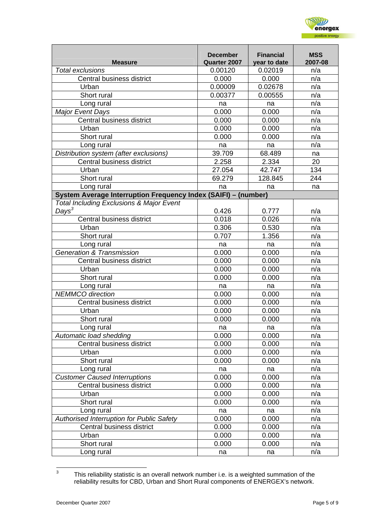

| <b>Measure</b>                                                 | <b>December</b><br>Quarter 2007 | <b>Financial</b><br>year to date | <b>MSS</b><br>2007-08 |
|----------------------------------------------------------------|---------------------------------|----------------------------------|-----------------------|
| <b>Total exclusions</b>                                        | 0.00120                         | 0.02019                          | n/a                   |
| Central business district                                      | 0.000                           | 0.000                            | n/a                   |
| Urban                                                          | 0.00009                         | 0.02678                          | n/a                   |
| Short rural                                                    | 0.00377                         | 0.00555                          | n/a                   |
| Long rural                                                     | na                              | na                               | n/a                   |
| <b>Major Event Days</b>                                        | 0.000                           | 0.000                            | n/a                   |
| Central business district                                      | 0.000                           | 0.000                            | n/a                   |
| Urban                                                          | 0.000                           | 0.000                            | n/a                   |
| Short rural                                                    | 0.000                           | 0.000                            | n/a                   |
| Long rural                                                     | na                              | na                               | n/a                   |
| Distribution system (after exclusions)                         | 39.709                          | 68.489                           | na                    |
| Central business district                                      | 2.258                           | 2.334                            | 20                    |
| Urban                                                          | 27.054                          | 42.747                           | 134                   |
| Short rural                                                    | 69.279                          | 128.845                          | 244                   |
| Long rural                                                     | na                              | na                               | na                    |
| System Average Interruption Frequency Index (SAIFI) - (number) |                                 |                                  |                       |
| <b>Total Including Exclusions &amp; Major Event</b>            |                                 |                                  |                       |
| $Days^3$                                                       | 0.426                           | 0.777                            | n/a                   |
| Central business district                                      | 0.018                           | 0.026                            | n/a                   |
| Urban                                                          | 0.306                           | 0.530                            | n/a                   |
| Short rural                                                    | 0.707                           | 1.356                            | n/a                   |
| Long rural                                                     | na                              | na                               | n/a                   |
| <b>Generation &amp; Transmission</b>                           | 0.000                           | 0.000                            | n/a                   |
| Central business district                                      | 0.000                           | 0.000                            | n/a                   |
| Urban                                                          | 0.000                           | 0.000                            | n/a                   |
| Short rural                                                    | 0.000                           | 0.000                            | n/a                   |
| Long rural                                                     | na                              | na                               | n/a                   |
| <b>NEMMCO</b> direction                                        | 0.000                           | 0.000                            | n/a                   |
| Central business district                                      | 0.000                           | 0.000                            | n/a                   |
| Urban                                                          | 0.000                           | 0.000                            | n/a                   |
| Short rural                                                    | 0.000                           | 0.000                            | n/a                   |
| Long rural                                                     | na                              | na                               | n/a                   |
| Automatic load shedding                                        | 0.000                           | 0.000                            | n/a                   |
| Central business district                                      | 0.000                           | 0.000                            | n/a                   |
| Urban                                                          | 0.000                           | 0.000                            | n/a                   |
| Short rural                                                    | 0.000                           | 0.000                            | n/a                   |
| Long rural                                                     | na                              | na                               | n/a                   |
| <b>Customer Caused Interruptions</b>                           | 0.000                           | 0.000                            | n/a                   |
| Central business district                                      | 0.000                           | 0.000                            | n/a                   |
| Urban                                                          | 0.000                           | 0.000                            | n/a                   |
| Short rural                                                    | 0.000                           | 0.000                            | n/a                   |
| Long rural                                                     | na                              | na                               | n/a                   |
| Authorised Interruption for Public Safety                      | 0.000                           | 0.000                            | n/a                   |
| Central business district                                      | 0.000                           | 0.000                            | n/a                   |
| Urban                                                          | 0.000                           | 0.000                            | n/a                   |
| Short rural                                                    | 0.000                           | 0.000                            | n/a                   |
| Long rural                                                     | na                              | na                               | n/a                   |

<span id="page-4-0"></span> <sup>3</sup> This reliability statistic is an overall network number i.e. is a weighted summation of the reliability results for CBD, Urban and Short Rural components of ENERGEX's network.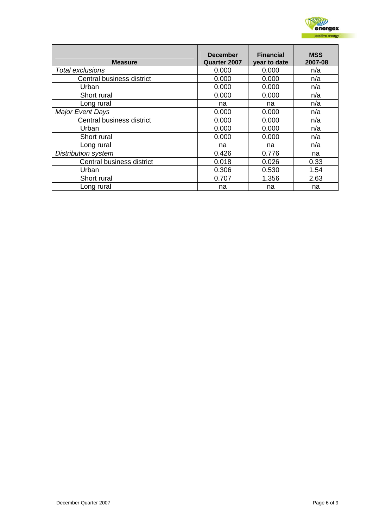

| <b>Measure</b>             | <b>December</b><br><b>Quarter 2007</b> | <b>Financial</b><br>year to date | <b>MSS</b><br>2007-08 |
|----------------------------|----------------------------------------|----------------------------------|-----------------------|
| Total exclusions           | 0.000                                  | 0.000                            | n/a                   |
| Central business district  | 0.000                                  | 0.000                            | n/a                   |
| Urban                      | 0.000                                  | 0.000                            | n/a                   |
| Short rural                | 0.000                                  | 0.000                            | n/a                   |
| Long rural                 | na                                     | na                               | n/a                   |
| <b>Major Event Days</b>    | 0.000                                  | 0.000                            | n/a                   |
| Central business district  | 0.000                                  | 0.000                            | n/a                   |
| Urban                      | 0.000                                  | 0.000                            | n/a                   |
| Short rural                | 0.000                                  | 0.000                            | n/a                   |
| Long rural                 | na                                     | na                               | n/a                   |
| <b>Distribution system</b> | 0.426                                  | 0.776                            | na                    |
| Central business district  | 0.018                                  | 0.026                            | 0.33                  |
| Urban                      | 0.306                                  | 0.530                            | 1.54                  |
| Short rural                | 0.707                                  | 1.356                            | 2.63                  |
| Long rural                 | na                                     | na                               | na                    |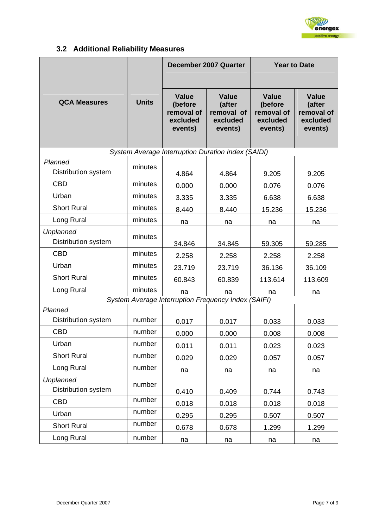

# **3.2 Additional Reliability Measures**

<span id="page-6-0"></span>

|                                                     |              | December 2007 Quarter                                 |                                                             | <b>Year to Date</b>                                          |                                                             |
|-----------------------------------------------------|--------------|-------------------------------------------------------|-------------------------------------------------------------|--------------------------------------------------------------|-------------------------------------------------------------|
| <b>QCA Measures</b>                                 | <b>Units</b> | Value<br>(before<br>removal of<br>excluded<br>events) | <b>Value</b><br>(after<br>removal of<br>excluded<br>events) | <b>Value</b><br>(before<br>removal of<br>excluded<br>events) | <b>Value</b><br>(after<br>removal of<br>excluded<br>events) |
|                                                     |              |                                                       | System Average Interruption Duration Index (SAIDI)          |                                                              |                                                             |
| Planned<br>Distribution system                      | minutes      | 4.864                                                 | 4.864                                                       | 9.205                                                        | 9.205                                                       |
| <b>CBD</b>                                          | minutes      | 0.000                                                 | 0.000                                                       | 0.076                                                        | 0.076                                                       |
| Urban                                               | minutes      | 3.335                                                 | 3.335                                                       | 6.638                                                        | 6.638                                                       |
| <b>Short Rural</b>                                  | minutes      | 8.440                                                 | 8.440                                                       | 15.236                                                       | 15.236                                                      |
| Long Rural                                          | minutes      | na                                                    | na                                                          | na                                                           | na                                                          |
| Unplanned<br><b>Distribution system</b>             | minutes      | 34.846                                                | 34.845                                                      | 59.305                                                       | 59.285                                                      |
| <b>CBD</b>                                          | minutes      | 2.258                                                 | 2.258                                                       | 2.258                                                        | 2.258                                                       |
| Urban                                               | minutes      | 23.719                                                | 23.719                                                      | 36.136                                                       | 36.109                                                      |
| <b>Short Rural</b>                                  | minutes      | 60.843                                                | 60.839                                                      | 113.614                                                      | 113.609                                                     |
| Long Rural                                          | minutes      | na                                                    | na                                                          | na                                                           | na                                                          |
| System Average Interruption Frequency Index (SAIFI) |              |                                                       |                                                             |                                                              |                                                             |
| Planned<br>Distribution system                      | number       | 0.017                                                 | 0.017                                                       | 0.033                                                        | 0.033                                                       |
| <b>CBD</b>                                          | number       | 0.000                                                 | 0.000                                                       | 0.008                                                        | 0.008                                                       |
| Urban                                               | number       | 0.011                                                 | 0.011                                                       | 0.023                                                        | 0.023                                                       |
| <b>Short Rural</b>                                  | number       | 0.029                                                 | 0.029                                                       | 0.057                                                        | 0.057                                                       |
| Long Rural                                          | number       | na                                                    | na                                                          | na                                                           | na                                                          |
| <b>Unplanned</b><br>Distribution system             | number       | 0.410                                                 | 0.409                                                       | 0.744                                                        | 0.743                                                       |
| <b>CBD</b>                                          | number       | 0.018                                                 | 0.018                                                       | 0.018                                                        | 0.018                                                       |
| Urban                                               | number       | 0.295                                                 | 0.295                                                       | 0.507                                                        | 0.507                                                       |
| <b>Short Rural</b>                                  | number       | 0.678                                                 | 0.678                                                       | 1.299                                                        | 1.299                                                       |
| Long Rural                                          | number       | na                                                    | na                                                          | na                                                           | na                                                          |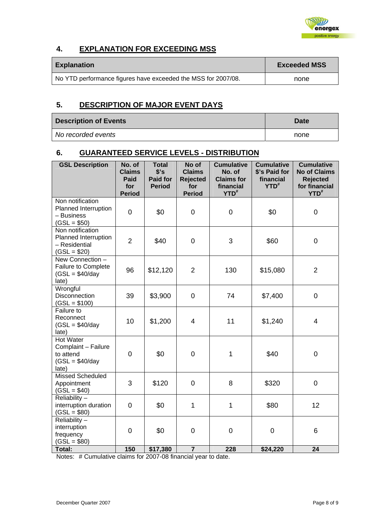

### <span id="page-7-0"></span>**4. EXPLANATION FOR EXCEEDING MSS**

| <b>Explanation</b>                                            | <b>Exceeded MSS</b> |
|---------------------------------------------------------------|---------------------|
| No YTD performance figures have exceeded the MSS for 2007/08. | none                |

#### **5. DESCRIPTION OF MAJOR EVENT DAYS**

| <b>Description of Events</b> | <b>Date</b> |
|------------------------------|-------------|
| No recorded events           | none        |

#### **6. GUARANTEED SERVICE LEVELS - DISTRIBUTION**

| <b>GSL Description</b>                                                            | No. of<br><b>Claims</b><br>Paid<br>for<br><b>Period</b> | <b>Total</b><br>\$'s<br><b>Paid for</b><br><b>Period</b> | No of<br><b>Claims</b><br><b>Rejected</b><br>for<br><b>Period</b> | <b>Cumulative</b><br>No. of<br><b>Claims for</b><br>financial<br>YTD <sup>#</sup> | <b>Cumulative</b><br>\$'s Paid for<br>financial<br>$YTD^*$ | <b>Cumulative</b><br><b>No of Claims</b><br><b>Rejected</b><br>for financial<br>YTD <sup>#</sup> |
|-----------------------------------------------------------------------------------|---------------------------------------------------------|----------------------------------------------------------|-------------------------------------------------------------------|-----------------------------------------------------------------------------------|------------------------------------------------------------|--------------------------------------------------------------------------------------------------|
| Non notification<br>Planned Interruption<br>- Business<br>$(GSL = $50)$           | $\overline{0}$                                          | \$0                                                      | $\overline{0}$                                                    | $\overline{0}$                                                                    | \$0                                                        | $\overline{0}$                                                                                   |
| Non notification<br>Planned Interruption<br>- Residential<br>$(GSL = $20)$        | $\overline{2}$                                          | \$40                                                     | $\mathbf 0$                                                       | 3                                                                                 | \$60                                                       | $\overline{0}$                                                                                   |
| New Connection -<br>Failure to Complete<br>$(GSL = $40/day$<br>late)              | 96                                                      | \$12,120                                                 | $\overline{2}$                                                    | 130                                                                               | \$15,080                                                   | $\overline{2}$                                                                                   |
| Wrongful<br>Disconnection<br>$(GSL = $100)$                                       | 39                                                      | \$3,900                                                  | 0                                                                 | 74                                                                                | \$7,400                                                    | $\mathbf 0$                                                                                      |
| Failure to<br>Reconnect<br>$(GSL = $40/day$<br>late)                              | 10                                                      | \$1,200                                                  | $\overline{4}$                                                    | 11                                                                                | \$1,240                                                    | $\overline{4}$                                                                                   |
| <b>Hot Water</b><br>Complaint - Failure<br>to attend<br>$(GSL = $40/day$<br>late) | $\mathbf 0$                                             | \$0                                                      | 0                                                                 | 1                                                                                 | \$40                                                       | $\mathbf 0$                                                                                      |
| <b>Missed Scheduled</b><br>Appointment<br>$(GSL = $40)$                           | 3                                                       | \$120                                                    | $\overline{0}$                                                    | 8                                                                                 | \$320                                                      | $\overline{0}$                                                                                   |
| Reliability-<br>interruption duration<br>$(GSL = $80)$                            | $\mathbf 0$                                             | \$0                                                      | 1                                                                 | $\mathbf{1}$                                                                      | \$80                                                       | 12                                                                                               |
| Reliability $-$<br>interruption<br>frequency<br>$(GSL = $80)$                     | $\mathbf 0$                                             | \$0                                                      | 0                                                                 | 0                                                                                 | $\mathbf 0$                                                | 6                                                                                                |
| <b>Total:</b>                                                                     | 150                                                     | \$17,380                                                 | $\overline{7}$                                                    | 228                                                                               | \$24,220                                                   | 24                                                                                               |

Notes: # Cumulative claims for 2007-08 financial year to date.